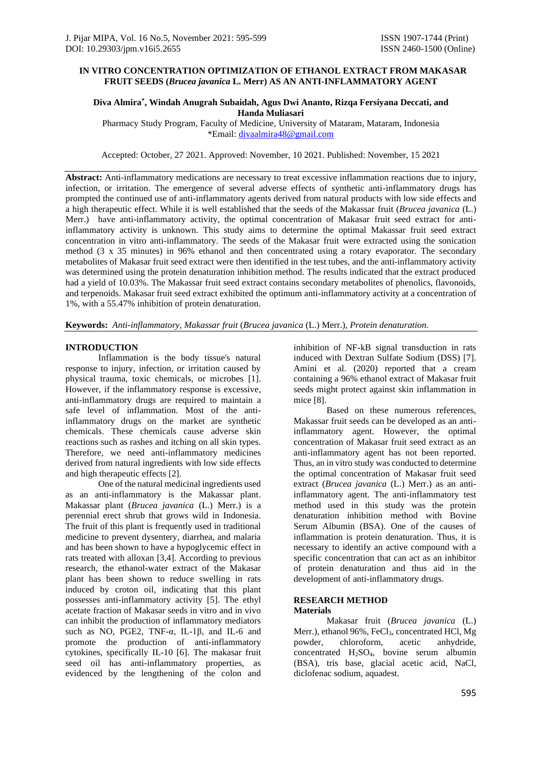## **IN VITRO CONCENTRATION OPTIMIZATION OF ETHANOL EXTRACT FROM MAKASAR FRUIT SEEDS (***Brucea javanica* **L. Merr) AS AN ANTI-INFLAMMATORY AGENT**

## **Diva Almira\* , Windah Anugrah Subaidah, Agus Dwi Ananto, Rizqa Fersiyana Deccati, and Handa Muliasari**

Pharmacy Study Program, Faculty of Medicine, University of Mataram, Mataram, Indonesia \*Email: divaalmira48@gmail.com

Accepted: October, 27 2021. Approved: November, 10 2021. Published: November, 15 2021

**Abstract:** Anti-inflammatory medications are necessary to treat excessive inflammation reactions due to injury, infection, or irritation. The emergence of several adverse effects of synthetic anti-inflammatory drugs has prompted the continued use of anti-inflammatory agents derived from natural products with low side effects and a high therapeutic effect. While it is well established that the seeds of the Makassar fruit (*Brucea javanica* (L.) Merr.) have anti-inflammatory activity, the optimal concentration of Makasar fruit seed extract for antiinflammatory activity is unknown. This study aims to determine the optimal Makassar fruit seed extract concentration in vitro anti-inflammatory. The seeds of the Makasar fruit were extracted using the sonication method (3 x 35 minutes) in 96% ethanol and then concentrated using a rotary evaporator. The secondary metabolites of Makasar fruit seed extract were then identified in the test tubes, and the anti-inflammatory activity was determined using the protein denaturation inhibition method. The results indicated that the extract produced had a yield of 10.03%. The Makassar fruit seed extract contains secondary metabolites of phenolics, flavonoids, and terpenoids. Makasar fruit seed extract exhibited the optimum anti-inflammatory activity at a concentration of 1%, with a 55.47% inhibition of protein denaturation.

**Keywords:** *Anti-inflammatory, Makassar fruit* (*Brucea javanica* (L.) Merr.), *Protein denaturation.*

## **INTRODUCTION**

Inflammation is the body tissue's natural response to injury, infection, or irritation caused by physical trauma, toxic chemicals, or microbes [1]. However, if the inflammatory response is excessive, anti-inflammatory drugs are required to maintain a safe level of inflammation. Most of the antiinflammatory drugs on the market are synthetic chemicals. These chemicals cause adverse skin reactions such as rashes and itching on all skin types. Therefore, we need anti-inflammatory medicines derived from natural ingredients with low side effects and high therapeutic effects [2].

One of the natural medicinal ingredients used as an anti-inflammatory is the Makassar plant. Makassar plant (*Brucea javanica* (L.) Merr.) is a perennial erect shrub that grows wild in Indonesia. The fruit of this plant is frequently used in traditional medicine to prevent dysentery, diarrhea, and malaria and has been shown to have a hypoglycemic effect in rats treated with alloxan [3,4]. According to previous research, the ethanol-water extract of the Makasar plant has been shown to reduce swelling in rats induced by croton oil, indicating that this plant possesses anti-inflammatory activity [5]. The ethyl acetate fraction of Makasar seeds in vitro and in vivo can inhibit the production of inflammatory mediators such as NO, PGE2, TNF-α, IL-1β, and IL-6 and promote the production of anti-inflammatory cytokines, specifically IL-10 [6]. The makasar fruit seed oil has anti-inflammatory properties, as evidenced by the lengthening of the colon and

inhibition of NF-kB signal transduction in rats induced with Dextran Sulfate Sodium (DSS) [7]. Amini et al. (2020) reported that a cream containing a 96% ethanol extract of Makasar fruit seeds might protect against skin inflammation in mice [8].

Based on these numerous references, Makassar fruit seeds can be developed as an antiinflammatory agent. However, the optimal concentration of Makasar fruit seed extract as an anti-inflammatory agent has not been reported. Thus, an in vitro study was conducted to determine the optimal concentration of Makasar fruit seed extract (*Brucea javanica* (L.) Merr.) as an antiinflammatory agent. The anti-inflammatory test method used in this study was the protein denaturation inhibition method with Bovine Serum Albumin (BSA). One of the causes of inflammation is protein denaturation. Thus, it is necessary to identify an active compound with a specific concentration that can act as an inhibitor of protein denaturation and thus aid in the development of anti-inflammatory drugs.

#### **RESEARCH METHOD Materials**

Makasar fruit (*Brucea javanica* (L.) Merr.), ethanol 96%, FeCl<sub>3</sub>, concentrated HCl, Mg powder, chloroform, acetic anhydride, concentrated H2SO4, bovine serum albumin (BSA), tris base, glacial acetic acid, NaCl, diclofenac sodium, aquadest.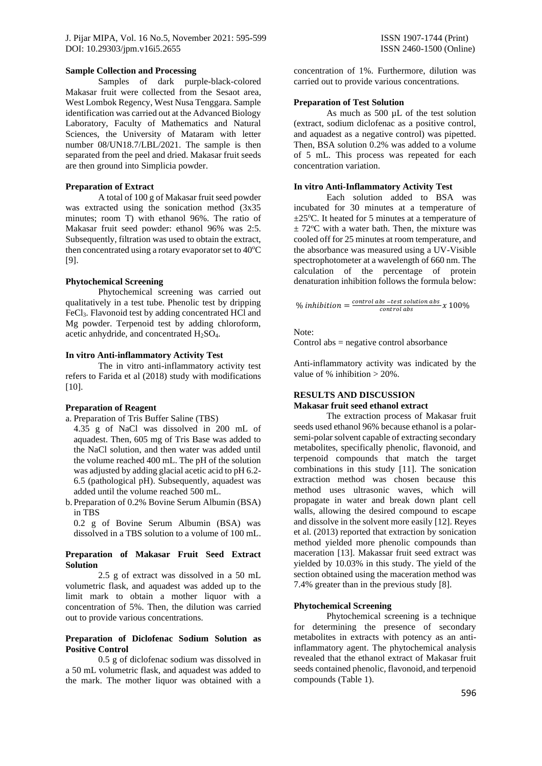#### **Sample Collection and Processing**

Samples of dark purple-black-colored Makasar fruit were collected from the Sesaot area, West Lombok Regency, West Nusa Tenggara. Sample identification was carried out at the Advanced Biology Laboratory, Faculty of Mathematics and Natural Sciences, the University of Mataram with letter number 08/UN18.7/LBL/2021. The sample is then separated from the peel and dried. Makasar fruit seeds are then ground into Simplicia powder.

### **Preparation of Extract**

A total of 100 g of Makasar fruit seed powder was extracted using the sonication method (3x35 minutes; room T) with ethanol 96%. The ratio of Makasar fruit seed powder: ethanol 96% was 2:5. Subsequently, filtration was used to obtain the extract, then concentrated using a rotary evaporator set to  $40^{\circ}$ C [9].

## **Phytochemical Screening**

Phytochemical screening was carried out qualitatively in a test tube. Phenolic test by dripping FeCl3. Flavonoid test by adding concentrated HCl and Mg powder. Terpenoid test by adding chloroform, acetic anhydride, and concentrated H2SO4.

## **In vitro Anti-inflammatory Activity Test**

The in vitro anti-inflammatory activity test refers to Farida et al (2018) study with modifications [10].

## **Preparation of Reagent**

- a. Preparation of Tris Buffer Saline (TBS)
- 4.35 g of NaCl was dissolved in 200 mL of aquadest. Then, 605 mg of Tris Base was added to the NaCl solution, and then water was added until the volume reached 400 mL. The pH of the solution was adjusted by adding glacial acetic acid to pH 6.2- 6.5 (pathological pH). Subsequently, aquadest was added until the volume reached 500 mL.
- b. Preparation of 0.2% Bovine Serum Albumin (BSA) in TBS

0.2 g of Bovine Serum Albumin (BSA) was dissolved in a TBS solution to a volume of 100 mL.

#### **Preparation of Makasar Fruit Seed Extract Solution**

2.5 g of extract was dissolved in a 50 mL volumetric flask, and aquadest was added up to the limit mark to obtain a mother liquor with a concentration of 5%. Then, the dilution was carried out to provide various concentrations.

### **Preparation of Diclofenac Sodium Solution as Positive Control**

0.5 g of diclofenac sodium was dissolved in a 50 mL volumetric flask, and aquadest was added to the mark. The mother liquor was obtained with a

concentration of 1%. Furthermore, dilution was carried out to provide various concentrations.

### **Preparation of Test Solution**

As much as 500  $\mu$ L of the test solution (extract, sodium diclofenac as a positive control, and aquadest as a negative control) was pipetted. Then, BSA solution 0.2% was added to a volume of 5 mL. This process was repeated for each concentration variation.

### **In vitro Anti-Inflammatory Activity Test**

Each solution added to BSA was incubated for 30 minutes at a temperature of  $\pm 25^{\circ}$ C. It heated for 5 minutes at a temperature of  $\pm$  72<sup>o</sup>C with a water bath. Then, the mixture was cooled off for 25 minutes at room temperature, and the absorbance was measured using a UV-Visible spectrophotometer at a wavelength of 660 nm. The calculation of the percentage of protein denaturation inhibition follows the formula below:

% inhibition  $=\frac{control \, abs - test \, solution \, abs}{control \, abs} x \, 100\%$ 

Note:

Control abs = negative control absorbance

Anti-inflammatory activity was indicated by the value of % inhibition > 20%.

# **RESULTS AND DISCUSSION**

#### **Makasar fruit seed ethanol extract**

The extraction process of Makasar fruit seeds used ethanol 96% because ethanol is a polarsemi-polar solvent capable of extracting secondary metabolites, specifically phenolic, flavonoid, and terpenoid compounds that match the target combinations in this study [11]. The sonication extraction method was chosen because this method uses ultrasonic waves, which will propagate in water and break down plant cell walls, allowing the desired compound to escape and dissolve in the solvent more easily [12]. Reyes et al. (2013) reported that extraction by sonication method yielded more phenolic compounds than maceration [13]. Makassar fruit seed extract was yielded by 10.03% in this study. The yield of the section obtained using the maceration method was 7.4% greater than in the previous study [8].

# **Phytochemical Screening**

Phytochemical screening is a technique for determining the presence of secondary metabolites in extracts with potency as an antiinflammatory agent. The phytochemical analysis revealed that the ethanol extract of Makasar fruit seeds contained phenolic, flavonoid, and terpenoid compounds (Table 1).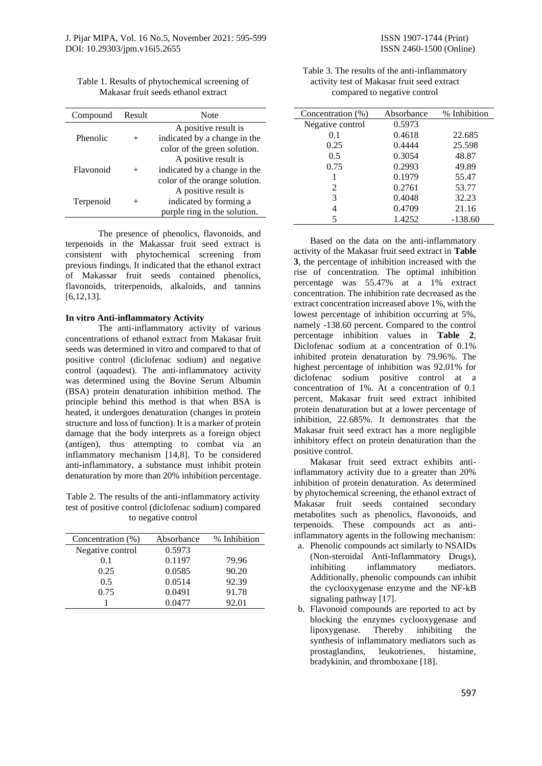Table 1. Results of phytochemical screening of Makasar fruit seeds ethanol extract

| Compound  | Result | Note                                                                                  |  |
|-----------|--------|---------------------------------------------------------------------------------------|--|
| Phenolic  |        | A positive result is<br>indicated by a change in the<br>color of the green solution.  |  |
| Flavonoid |        | A positive result is<br>indicated by a change in the<br>color of the orange solution. |  |
| Terpenoid | $^+$   | A positive result is<br>indicated by forming a<br>purple ring in the solution.        |  |

The presence of phenolics, flavonoids, and terpenoids in the Makassar fruit seed extract is consistent with phytochemical screening from previous findings. It indicated that the ethanol extract of Makassar fruit seeds contained phenolics, flavonoids, triterpenoids, alkaloids, and tannins [6,12,13].

## **In vitro Anti-inflammatory Activity**

The anti-inflammatory activity of various concentrations of ethanol extract from Makasar fruit seeds was determined in vitro and compared to that of positive control (diclofenac sodium) and negative control (aquadest). The anti-inflammatory activity was determined using the Bovine Serum Albumin (BSA) protein denaturation inhibition method. The principle behind this method is that when BSA is heated, it undergoes denaturation (changes in protein structure and loss of function). It is a marker of protein damage that the body interprets as a foreign object (antigen), thus attempting to combat via an inflammatory mechanism [14,8]. To be considered anti-inflammatory, a substance must inhibit protein denaturation by more than 20% inhibition percentage.

Table 2. The results of the anti-inflammatory activity test of positive control (diclofenac sodium) compared to negative control

| Concentration (%) | Absorbance | % Inhibition |
|-------------------|------------|--------------|
| Negative control  | 0.5973     |              |
| 0.1               | 0.1197     | 79.96        |
| 0.25              | 0.0585     | 90.20        |
| 0.5               | 0.0514     | 92.39        |
| 0.75              | 0.0491     | 91.78        |
|                   | 0.0477     | 92.01        |

Table 3. The results of the anti-inflammatory activity test of Makasar fruit seed extract compared to negative control

| Concentration (%) | Absorbance | % Inhibition |
|-------------------|------------|--------------|
| Negative control  | 0.5973     |              |
| 0.1               | 0.4618     | 22.685       |
| 0.25              | 0.4444     | 25.598       |
| 0.5               | 0.3054     | 48.87        |
| 0.75              | 0.2993     | 49.89        |
|                   | 0.1979     | 55.47        |
| $\mathfrak{D}$    | 0.2761     | 53.77        |
| 3                 | 0.4048     | 32.23        |
| 4                 | 0.4709     | 21.16        |
|                   | 1.4252     | $-138.60$    |

Based on the data on the anti-inflammatory activity of the Makasar fruit seed extract in **Table 3**, the percentage of inhibition increased with the rise of concentration. The optimal inhibition percentage was 55.47% at a 1% extract concentration. The inhibition rate decreased as the extract concentration increased above 1%, with the lowest percentage of inhibition occurring at 5%, namely -138.60 percent. Compared to the control percentage inhibition values in **Table 2**, Diclofenac sodium at a concentration of 0.1% inhibited protein denaturation by 79.96%. The highest percentage of inhibition was 92.01% for diclofenac sodium positive control at a concentration of 1%. At a concentration of 0.1 percent, Makasar fruit seed extract inhibited protein denaturation but at a lower percentage of inhibition, 22.685%. It demonstrates that the Makasar fruit seed extract has a more negligible inhibitory effect on protein denaturation than the positive control.

Makasar fruit seed extract exhibits antiinflammatory activity due to a greater than 20% inhibition of protein denaturation. As determined by phytochemical screening, the ethanol extract of Makasar fruit seeds contained secondary metabolites such as phenolics, flavonoids, and terpenoids. These compounds act as antiinflammatory agents in the following mechanism:

- a. Phenolic compounds act similarly to NSAIDs (Non-steroidal Anti-Inflammatory Drugs), inhibiting inflammatory mediators. Additionally, phenolic compounds can inhibit the cyclooxygenase enzyme and the NF-kB signaling pathway [17].
- b. Flavonoid compounds are reported to act by blocking the enzymes cyclooxygenase and lipoxygenase. Thereby inhibiting the synthesis of inflammatory mediators such as prostaglandins, leukotrienes, histamine, bradykinin, and thromboxane [18].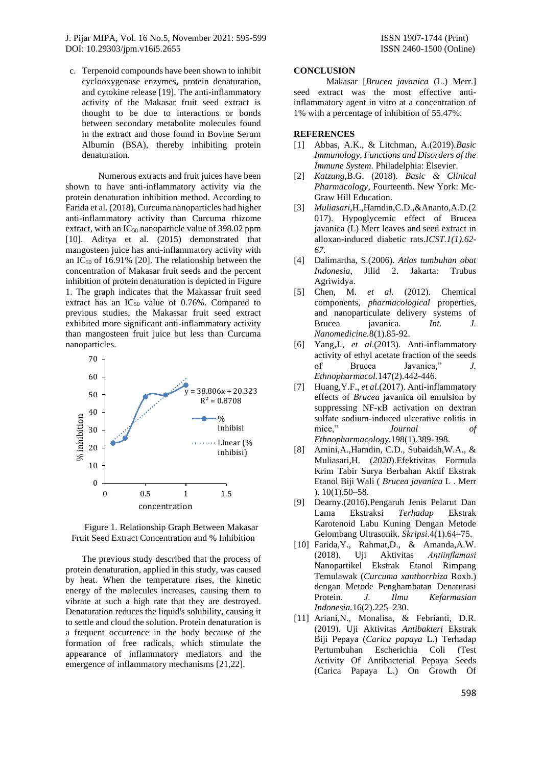J. Pijar MIPA, Vol. 16 No.5, November 2021: 595-599 ISSN 1907-1744 (Print) DOI: [10.29303/jpm.v16i5.2655](http://dx.doi.org/10.29303/jpm.v16i5.2655) ISSN 2460-1500 (Online)

c. Terpenoid compounds have been shown to inhibit cyclooxygenase enzymes, protein denaturation, and cytokine release [19]. The anti-inflammatory activity of the Makasar fruit seed extract is thought to be due to interactions or bonds between secondary metabolite molecules found in the extract and those found in Bovine Serum Albumin (BSA), thereby inhibiting protein denaturation.

Numerous extracts and fruit juices have been shown to have anti-inflammatory activity via the protein denaturation inhibition method. According to Farida et al. (2018), Curcuma nanoparticles had higher anti-inflammatory activity than Curcuma rhizome extract, with an  $IC_{50}$  nanoparticle value of 398.02 ppm [10]. Aditya et al. (2015) demonstrated that mangosteen juice has anti-inflammatory activity with an  $IC_{50}$  of 16.91% [20]. The relationship between the concentration of Makasar fruit seeds and the percent inhibition of protein denaturation is depicted in Figure 1. The graph indicates that the Makassar fruit seed extract has an  $IC_{50}$  value of 0.76%. Compared to previous studies, the Makassar fruit seed extract exhibited more significant anti-inflammatory activity than mangosteen fruit juice but less than Curcuma nanoparticles.





The previous study described that the process of protein denaturation, applied in this study, was caused by heat. When the temperature rises, the kinetic energy of the molecules increases, causing them to vibrate at such a high rate that they are destroyed. Denaturation reduces the liquid's solubility, causing it to settle and cloud the solution. Protein denaturation is a frequent occurrence in the body because of the formation of free radicals, which stimulate the appearance of inflammatory mediators and the emergence of inflammatory mechanisms [21,22].

#### **CONCLUSION**

Makasar [*Brucea javanica* (L.) Merr.] seed extract was the most effective antiinflammatory agent in vitro at a concentration of 1% with a percentage of inhibition of 55.47%.

### **REFERENCES**

- [1] Abbas, A.K., & Litchman, A.(2019).*Basic Immunology, Functions and Disorders of the Immune System*. Philadelphia: Elsevier.
- [2] *Katzung*,B.G. (2018). *Basic & Clinical Pharmacology*, Fourteenth. New York: Mc-Graw Hill Education.
- [3] *Muliasari*,H.,Hamdin,C.D.,&Ananto,A.D.(2 017). Hypoglycemic effect of Brucea javanica (L) Merr leaves and seed extract in alloxan-induced diabetic rats.*ICST.1(1).62- 67.*
- [4] Dalimartha, S.(2006). *Atlas tumbuhan obat Indonesia*, Jilid 2. Jakarta: Trubus Agriwidya.<br>[5] Chen, M.
- [5] Chen, M. *et al.* (2012). Chemical components, *pharmacological* properties, and nanoparticulate delivery systems of Brucea javanica. *Int. J. Nanomedicine.*8(1).85-92.
- [6] Yang,J., *et al*.(2013). Anti-inflammatory activity of ethyl acetate fraction of the seeds of Brucea Javanica," *J. Ethnopharmacol.*147(2).442-446.
- [7] Huang,Y.F., *et al*.(2017). Anti-inflammatory effects of *Brucea* javanica oil emulsion by suppressing NF-κB activation on dextran sulfate sodium-induced ulcerative colitis in mice," *Journal of Ethnopharmacology.*198(1).389-398.
- [8] Amini,A.,Hamdin, C.D., Subaidah,W.A., & Muliasari,H. (*2020*).Efektivitas Formula Krim Tabir Surya Berbahan Aktif Ekstrak Etanol Biji Wali ( *Brucea javanica* L . Merr ). 10(1).50–58.
- [9] Dearny.(2016).Pengaruh Jenis Pelarut Dan Lama Ekstraksi *Terhadap* Ekstrak Karotenoid Labu Kuning Dengan Metode Gelombang Ultrasonik. *Skripsi*.4(1).64–75.
- [10] Farida,Y., Rahmat,D., & Amanda,A.W. (2018). Uji Aktivitas *Antiinflamasi* Nanopartikel Ekstrak Etanol Rimpang Temulawak (*Curcuma xanthorrhiza* Roxb.) dengan Metode Penghambatan Denaturasi Protein. *J. Ilmu Kefarmasian Indonesia.*16(2).225–230.
- [11] Ariani,N., Monalisa, & Febrianti, D.R. (2019). Uji Aktivitas *Antibakteri* Ekstrak Biji Pepaya (*Carica papaya* L.) Terhadap Pertumbuhan Escherichia Coli (Test Activity Of Antibacterial Pepaya Seeds (Carica Papaya L.) On Growth Of